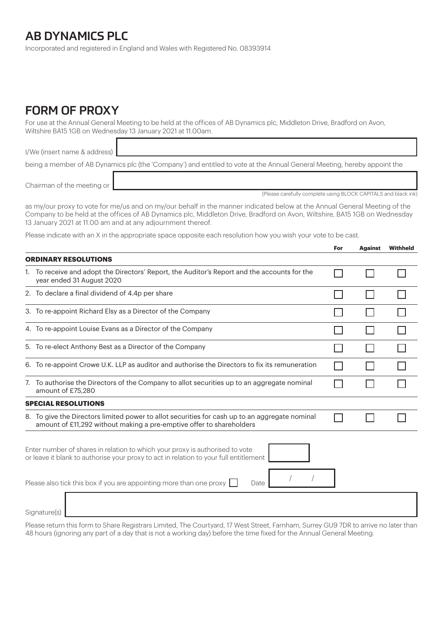## AB DYNAMICS PLC

Incorporated and registered in England and Wales with Registered No. 08393914

## FORM OF PROXY

For use at the Annual General Meeting to be held at the offices of AB Dynamics plc, Middleton Drive, Bradford on Avon, Wiltshire BA15 1GB on Wednesday 13 January 2021 at 11.00am.

I/We (insert name & address) being a member of AB Dynamics plc (the 'Company') and entitled to vote at the Annual General Meeting, hereby appoint the

Chairman of the meeting or

as my/our proxy to vote for me/us and on my/our behalf in the manner indicated below at the Annual General Meeting of the Company to be held at the offices of AB Dynamics plc, Middleton Drive, Bradford on Avon, Wiltshire, BA15 1GB on Wednesday 13 January 2021 at 11.00 am and at any adjournment thereof.

Please indicate with an X in the appropriate space opposite each resolution how you wish your vote to be cast.

|                                                                                                                                                                                                                                                      |                                                                                                                                                                        | For | <b>Against</b> | Withheld |
|------------------------------------------------------------------------------------------------------------------------------------------------------------------------------------------------------------------------------------------------------|------------------------------------------------------------------------------------------------------------------------------------------------------------------------|-----|----------------|----------|
|                                                                                                                                                                                                                                                      | <b>ORDINARY RESOLUTIONS</b>                                                                                                                                            |     |                |          |
|                                                                                                                                                                                                                                                      | 1. To receive and adopt the Directors' Report, the Auditor's Report and the accounts for the<br>year ended 31 August 2020                                              |     |                |          |
|                                                                                                                                                                                                                                                      | 2. To declare a final dividend of 4.4p per share                                                                                                                       |     |                |          |
|                                                                                                                                                                                                                                                      | 3. To re-appoint Richard Elsy as a Director of the Company                                                                                                             |     |                |          |
|                                                                                                                                                                                                                                                      | 4. To re-appoint Louise Evans as a Director of the Company                                                                                                             |     |                |          |
|                                                                                                                                                                                                                                                      | 5. To re-elect Anthony Best as a Director of the Company                                                                                                               |     |                |          |
|                                                                                                                                                                                                                                                      | 6. To re-appoint Crowe U.K. LLP as auditor and authorise the Directors to fix its remuneration                                                                         |     |                |          |
| 7.                                                                                                                                                                                                                                                   | To authorise the Directors of the Company to allot securities up to an aggregate nominal<br>amount of £75,280                                                          |     |                |          |
|                                                                                                                                                                                                                                                      | <b>SPECIAL RESOLUTIONS</b>                                                                                                                                             |     |                |          |
|                                                                                                                                                                                                                                                      | 8. To give the Directors limited power to allot securities for cash up to an aggregate nominal<br>amount of £11,292 without making a pre-emptive offer to shareholders |     |                |          |
| Enter number of shares in relation to which your proxy is authorised to vote<br>or leave it blank to authorise your proxy to act in relation to your full entitlement<br>Please also tick this box if you are appointing more than one proxy<br>Date |                                                                                                                                                                        |     |                |          |
|                                                                                                                                                                                                                                                      |                                                                                                                                                                        |     |                |          |
|                                                                                                                                                                                                                                                      | Signature(s)                                                                                                                                                           |     |                |          |

Please return this form to Share Registrars Limited, The Courtyard, 17 West Street, Farnham, Surrey GU9 7DR to arrive no later than 48 hours (ignoring any part of a day that is not a working day) before the time fixed for the Annual General Meeting.